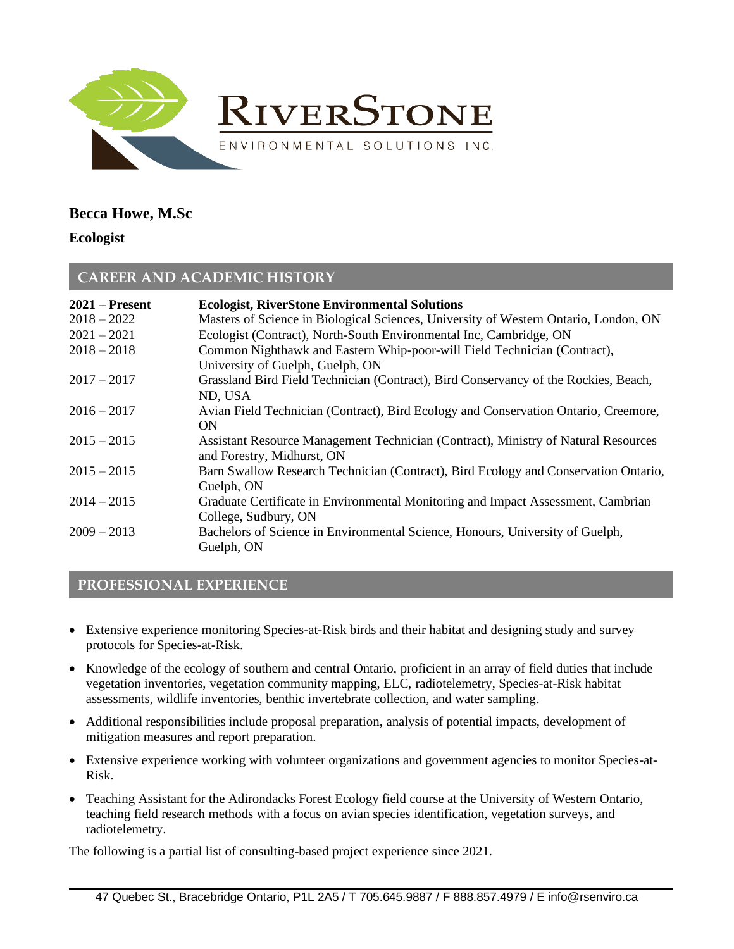

# **Becca Howe, M.Sc**

#### **Ecologist**

## **CAREER AND ACADEMIC HISTORY**

| $2021$ – Present<br>$2018 - 2022$ | <b>Ecologist, RiverStone Environmental Solutions</b><br>Masters of Science in Biological Sciences, University of Western Ontario, London, ON |
|-----------------------------------|----------------------------------------------------------------------------------------------------------------------------------------------|
| $2021 - 2021$<br>$2018 - 2018$    | Ecologist (Contract), North-South Environmental Inc, Cambridge, ON                                                                           |
|                                   | Common Nighthawk and Eastern Whip-poor-will Field Technician (Contract),<br>University of Guelph, Guelph, ON                                 |
| $2017 - 2017$                     | Grassland Bird Field Technician (Contract), Bird Conservancy of the Rockies, Beach,<br>ND, USA                                               |
| $2016 - 2017$                     | Avian Field Technician (Contract), Bird Ecology and Conservation Ontario, Creemore,<br>ON                                                    |
| $2015 - 2015$                     | Assistant Resource Management Technician (Contract), Ministry of Natural Resources<br>and Forestry, Midhurst, ON                             |
| $2015 - 2015$                     | Barn Swallow Research Technician (Contract), Bird Ecology and Conservation Ontario,<br>Guelph, ON                                            |
| $2014 - 2015$                     | Graduate Certificate in Environmental Monitoring and Impact Assessment, Cambrian<br>College, Sudbury, ON                                     |
| $2009 - 2013$                     | Bachelors of Science in Environmental Science, Honours, University of Guelph,<br>Guelph, ON                                                  |

### **PROFESSIONAL EXPERIENCE**

- Extensive experience monitoring Species-at-Risk birds and their habitat and designing study and survey protocols for Species-at-Risk.
- Knowledge of the ecology of southern and central Ontario, proficient in an array of field duties that include vegetation inventories, vegetation community mapping, ELC, radiotelemetry, Species-at-Risk habitat assessments, wildlife inventories, benthic invertebrate collection, and water sampling.
- Additional responsibilities include proposal preparation, analysis of potential impacts, development of mitigation measures and report preparation.
- Extensive experience working with volunteer organizations and government agencies to monitor Species-at-Risk.
- Teaching Assistant for the Adirondacks Forest Ecology field course at the University of Western Ontario, teaching field research methods with a focus on avian species identification, vegetation surveys, and radiotelemetry.

The following is a partial list of consulting-based project experience since 2021.